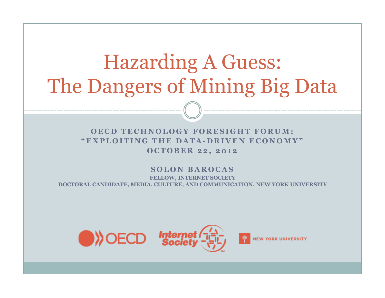# Hazarding A Guess: The Dangers of Mining Big Data

**OECD TECHNOLOGY FORESIGHT FORUM: "EXPLOITING THE DATA-DRIVEN ECONOMY" OCTOBER 22, 2012** 

**SOLON BAROCAS FELLOW, INTERNET SOCIETY DOCTORAL CANDIDATE, MEDIA, CULTURE, AND COMMUNICATION, NEW YORK UNIVERSITY** 

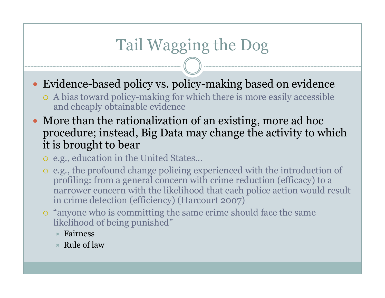## Tail Wagging the Dog

- Evidence-based policy vs. policy-making based on evidence
	- ¡ A bias toward policy-making for which there is more easily accessible and cheaply obtainable evidence
- More than the rationalization of an existing, more ad hoc procedure; instead, Big Data may change the activity to which it is brought to bear
	- o e.g., education in the United States...
	- ¡ e.g., the profound change policing experienced with the introduction of profiling: from a general concern with crime reduction (efficacy) to a narrower concern with the likelihood that each police action would result in crime detection (efficiency) (Harcourt 2007)
	- $\circ$  "anyone who is committing the same crime should face the same likelihood of being punished"
		- $\star$  Fairness
		- $\star$  Rule of law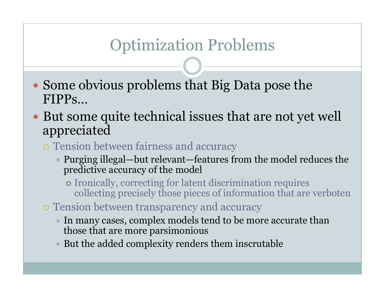### Optimization Problems

- Some obvious problems that Big Data pose the FIPPs…
- But some quite technical issues that are not yet well appreciated
	- o Tension between fairness and accuracy
		- $\overline{\phantom{a}}$  Purging illegal—but relevant—features from the model reduces the predictive accuracy of the model
			- ¢ Ironically, correcting for latent discrimination requires collecting precisely those pieces of information that are verboten
	- $\circ$  Tension between transparency and accuracy
		- $\star$  In many cases, complex models tend to be more accurate than those that are more parsimonious
		- $\triangleright$  But the added complexity renders them inscrutable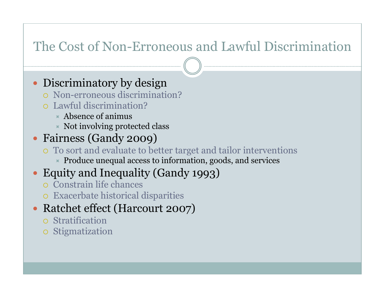#### The Cost of Non-Erroneous and Lawful Discrimination

• Discriminatory by design

- ¡ Non-erroneous discrimination?
- ¡ Lawful discrimination?
	- $\star$  Absence of animus
	- $\ast$  Not involving protected class
- Fairness (Gandy 2009)
	- ¡ To sort and evaluate to better target and tailor interventions
		- $\ast$  Produce unequal access to information, goods, and services
- Equity and Inequality (Gandy 1993)
	- ¡ Constrain life chances
	- $\circ$  Exacerbate historical disparities
- Ratchet effect (Harcourt 2007)
	- ¡ Stratification
	- **o** Stigmatization